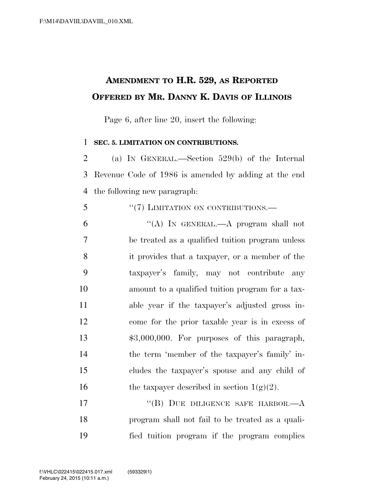## **AMENDMENT TO H.R. 529, AS REPORTED OFFERED BY MR. DANNY K. DAVIS OF ILLINOIS**

Page 6, after line 20, insert the following:

## **SEC. 5. LIMITATION ON CONTRIBUTIONS.**

 (a) IN GENERAL.—Section 529(b) of the Internal Revenue Code of 1986 is amended by adding at the end the following new paragraph:

5 "(7) LIMITATION ON CONTRIBUTIONS.

 ''(A) IN GENERAL.—A program shall not be treated as a qualified tuition program unless it provides that a taxpayer, or a member of the taxpayer's family, may not contribute any amount to a qualified tuition program for a tax- able year if the taxpayer's adjusted gross in- come for the prior taxable year is in excess of \$3,000,000. For purposes of this paragraph, the term 'member of the taxpayer's family' in- cludes the taxpayer's spouse and any child of 16 the taxpayer described in section  $1(g)(2)$ .

17 "(B) DUE DILIGENCE SAFE HARBOR.—A program shall not fail to be treated as a quali-fied tuition program if the program complies